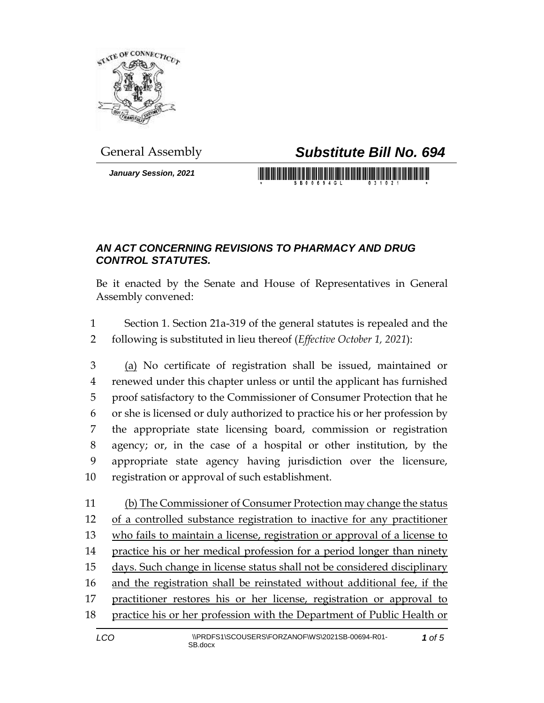

*January Session, 2021*

## General Assembly *Substitute Bill No. 694*

## *AN ACT CONCERNING REVISIONS TO PHARMACY AND DRUG CONTROL STATUTES.*

Be it enacted by the Senate and House of Representatives in General Assembly convened:

 Section 1. Section 21a-319 of the general statutes is repealed and the following is substituted in lieu thereof (*Effective October 1, 2021*):

 (a) No certificate of registration shall be issued, maintained or renewed under this chapter unless or until the applicant has furnished proof satisfactory to the Commissioner of Consumer Protection that he or she is licensed or duly authorized to practice his or her profession by the appropriate state licensing board, commission or registration agency; or, in the case of a hospital or other institution, by the appropriate state agency having jurisdiction over the licensure, registration or approval of such establishment.

 (b) The Commissioner of Consumer Protection may change the status of a controlled substance registration to inactive for any practitioner who fails to maintain a license, registration or approval of a license to 14 practice his or her medical profession for a period longer than ninety days. Such change in license status shall not be considered disciplinary and the registration shall be reinstated without additional fee, if the practitioner restores his or her license, registration or approval to 18 practice his or her profession with the Department of Public Health or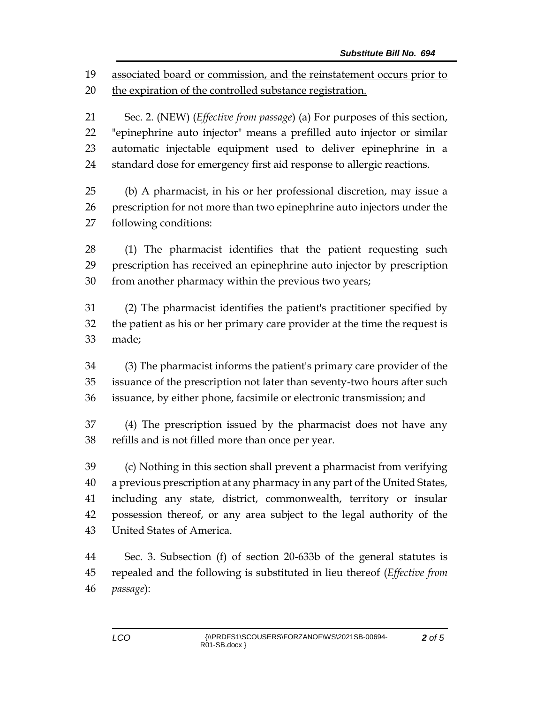associated board or commission, and the reinstatement occurs prior to

the expiration of the controlled substance registration.

 Sec. 2. (NEW) (*Effective from passage*) (a) For purposes of this section, "epinephrine auto injector" means a prefilled auto injector or similar automatic injectable equipment used to deliver epinephrine in a standard dose for emergency first aid response to allergic reactions.

 (b) A pharmacist, in his or her professional discretion, may issue a prescription for not more than two epinephrine auto injectors under the following conditions:

 (1) The pharmacist identifies that the patient requesting such prescription has received an epinephrine auto injector by prescription from another pharmacy within the previous two years;

 (2) The pharmacist identifies the patient's practitioner specified by the patient as his or her primary care provider at the time the request is made;

 (3) The pharmacist informs the patient's primary care provider of the issuance of the prescription not later than seventy-two hours after such issuance, by either phone, facsimile or electronic transmission; and

 (4) The prescription issued by the pharmacist does not have any refills and is not filled more than once per year.

 (c) Nothing in this section shall prevent a pharmacist from verifying a previous prescription at any pharmacy in any part of the United States, including any state, district, commonwealth, territory or insular possession thereof, or any area subject to the legal authority of the United States of America.

 Sec. 3. Subsection (f) of section 20-633b of the general statutes is repealed and the following is substituted in lieu thereof (*Effective from passage*):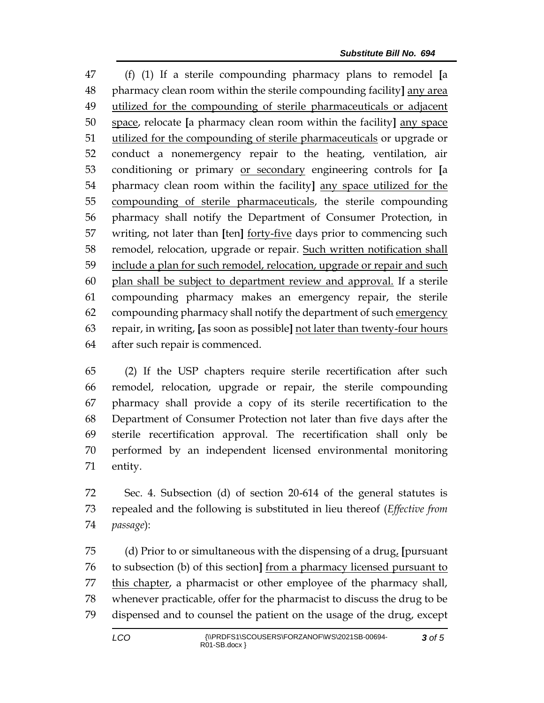(f) (1) If a sterile compounding pharmacy plans to remodel **[**a pharmacy clean room within the sterile compounding facility**]** any area utilized for the compounding of sterile pharmaceuticals or adjacent space, relocate **[**a pharmacy clean room within the facility**]** any space 51 utilized for the compounding of sterile pharmaceuticals or upgrade or conduct a nonemergency repair to the heating, ventilation, air conditioning or primary or secondary engineering controls for **[**a pharmacy clean room within the facility**]** any space utilized for the compounding of sterile pharmaceuticals, the sterile compounding pharmacy shall notify the Department of Consumer Protection, in writing, not later than **[**ten**]** forty-five days prior to commencing such remodel, relocation, upgrade or repair. Such written notification shall 59 include a plan for such remodel, relocation, upgrade or repair and such plan shall be subject to department review and approval. If a sterile compounding pharmacy makes an emergency repair, the sterile compounding pharmacy shall notify the department of such emergency repair, in writing, **[**as soon as possible**]** not later than twenty-four hours after such repair is commenced.

 (2) If the USP chapters require sterile recertification after such remodel, relocation, upgrade or repair, the sterile compounding pharmacy shall provide a copy of its sterile recertification to the Department of Consumer Protection not later than five days after the sterile recertification approval. The recertification shall only be performed by an independent licensed environmental monitoring entity.

 Sec. 4. Subsection (d) of section 20-614 of the general statutes is repealed and the following is substituted in lieu thereof (*Effective from passage*):

 (d) Prior to or simultaneous with the dispensing of a drug, **[**pursuant to subsection (b) of this section**]** from a pharmacy licensed pursuant to this chapter, a pharmacist or other employee of the pharmacy shall, whenever practicable, offer for the pharmacist to discuss the drug to be dispensed and to counsel the patient on the usage of the drug, except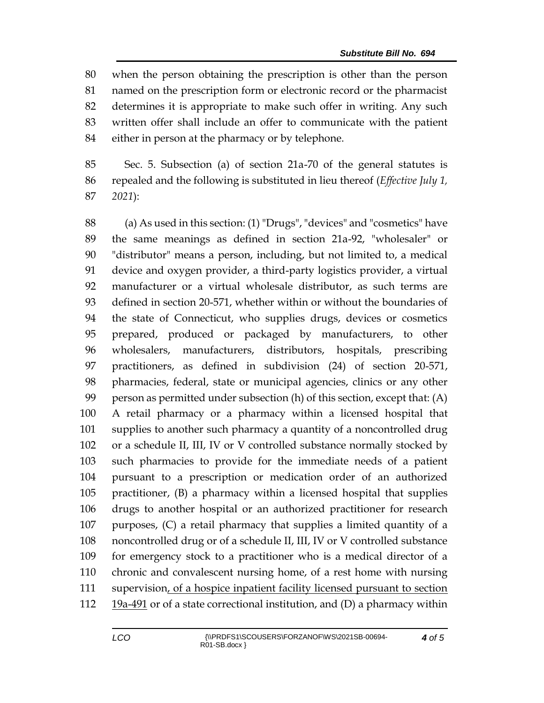when the person obtaining the prescription is other than the person named on the prescription form or electronic record or the pharmacist determines it is appropriate to make such offer in writing. Any such written offer shall include an offer to communicate with the patient either in person at the pharmacy or by telephone.

 Sec. 5. Subsection (a) of section 21a-70 of the general statutes is repealed and the following is substituted in lieu thereof (*Effective July 1, 2021*):

 (a) As used in this section: (1) "Drugs", "devices" and "cosmetics" have the same meanings as defined in section 21a-92, "wholesaler" or "distributor" means a person, including, but not limited to, a medical device and oxygen provider, a third-party logistics provider, a virtual manufacturer or a virtual wholesale distributor, as such terms are defined in section 20-571, whether within or without the boundaries of the state of Connecticut, who supplies drugs, devices or cosmetics prepared, produced or packaged by manufacturers, to other wholesalers, manufacturers, distributors, hospitals, prescribing practitioners, as defined in subdivision (24) of section 20-571, pharmacies, federal, state or municipal agencies, clinics or any other person as permitted under subsection (h) of this section, except that: (A) A retail pharmacy or a pharmacy within a licensed hospital that supplies to another such pharmacy a quantity of a noncontrolled drug or a schedule II, III, IV or V controlled substance normally stocked by such pharmacies to provide for the immediate needs of a patient pursuant to a prescription or medication order of an authorized practitioner, (B) a pharmacy within a licensed hospital that supplies drugs to another hospital or an authorized practitioner for research purposes, (C) a retail pharmacy that supplies a limited quantity of a noncontrolled drug or of a schedule II, III, IV or V controlled substance for emergency stock to a practitioner who is a medical director of a chronic and convalescent nursing home, of a rest home with nursing 111 supervision, of a hospice inpatient facility licensed pursuant to section  $19a-491$  or of a state correctional institution, and (D) a pharmacy within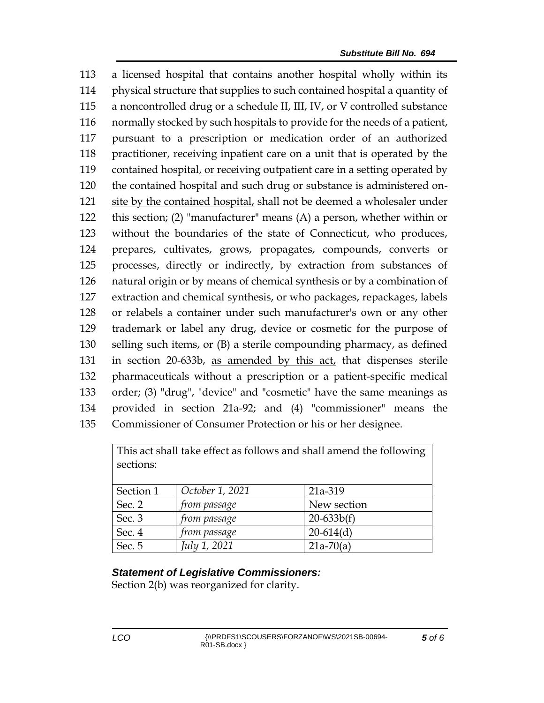a licensed hospital that contains another hospital wholly within its physical structure that supplies to such contained hospital a quantity of a noncontrolled drug or a schedule II, III, IV, or V controlled substance normally stocked by such hospitals to provide for the needs of a patient, pursuant to a prescription or medication order of an authorized practitioner, receiving inpatient care on a unit that is operated by the contained hospital, or receiving outpatient care in a setting operated by the contained hospital and such drug or substance is administered on- site by the contained hospital, shall not be deemed a wholesaler under this section; (2) "manufacturer" means (A) a person, whether within or without the boundaries of the state of Connecticut, who produces, prepares, cultivates, grows, propagates, compounds, converts or processes, directly or indirectly, by extraction from substances of natural origin or by means of chemical synthesis or by a combination of extraction and chemical synthesis, or who packages, repackages, labels or relabels a container under such manufacturer's own or any other trademark or label any drug, device or cosmetic for the purpose of selling such items, or (B) a sterile compounding pharmacy, as defined in section 20-633b, as amended by this act, that dispenses sterile pharmaceuticals without a prescription or a patient-specific medical order; (3) "drug", "device" and "cosmetic" have the same meanings as provided in section 21a-92; and (4) "commissioner" means the Commissioner of Consumer Protection or his or her designee.

| This act shall take effect as follows and shall amend the following<br>sections: |                 |              |
|----------------------------------------------------------------------------------|-----------------|--------------|
| Section 1                                                                        | October 1, 2021 | 21a-319      |
| Sec. 2                                                                           | from passage    | New section  |
| Sec. 3                                                                           | from passage    | $20-633b(f)$ |
| Sec. 4                                                                           | from passage    | $20-614(d)$  |
| Sec. 5                                                                           | July 1, 2021    | $21a-70(a)$  |

## *Statement of Legislative Commissioners:*

Section 2(b) was reorganized for clarity.